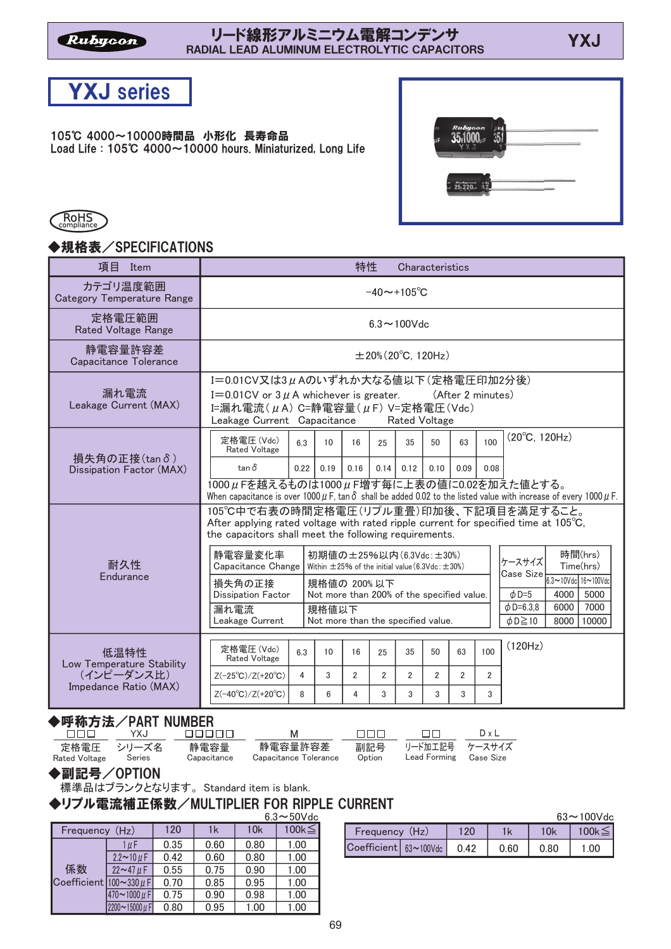## RADIAL LEAD ALUMINUM ELECTROLYTIC CAPACITORS



105℃ 4000~10000時間品 小形化 長寿命品 Load Life:  $105^{\circ}$ C 4000 $\sim$  10000 hours. Miniaturized, Long Life





## ◆規格表/SPECIFICATIONS

| 項目<br>Item                                                               | 特性<br>Characteristics                                                                                                                                                                                                                                                                                                                                                                                                                            |  |  |  |  |  |  |
|--------------------------------------------------------------------------|--------------------------------------------------------------------------------------------------------------------------------------------------------------------------------------------------------------------------------------------------------------------------------------------------------------------------------------------------------------------------------------------------------------------------------------------------|--|--|--|--|--|--|
| カテゴリ温度範囲<br><b>Category Temperature Range</b>                            | $-40 \sim +105^{\circ}C$                                                                                                                                                                                                                                                                                                                                                                                                                         |  |  |  |  |  |  |
| 定格電圧範囲<br><b>Rated Voltage Range</b>                                     | $6.3 \sim 100$ Vdc                                                                                                                                                                                                                                                                                                                                                                                                                               |  |  |  |  |  |  |
| 静電容量許容差<br>Capacitance Tolerance                                         | $\pm 20\%$ (20°C, 120Hz)                                                                                                                                                                                                                                                                                                                                                                                                                         |  |  |  |  |  |  |
| 漏れ電流<br>Leakage Current (MAX)                                            | I=0.01CV又は3µAのいずれか大なる値以下(定格電圧印加2分後)<br>I=0.01CV or $3 \mu$ A whichever is greater.<br>(After 2 minutes)<br>I=漏れ電流 $(\mu A)$ C=静電容量 $(\mu F)$ V=定格電圧 $(Vdc)$<br>Leakage Current Capacitance<br><b>Rated Voltage</b>                                                                                                                                                                                                                               |  |  |  |  |  |  |
| 損失角の正接(tanδ)<br>Dissipation Factor (MAX)                                 | $(20^{\circ}C, 120Hz)$<br>定格電圧(Vdc)<br>100<br>6.3<br>10<br>35<br>50<br>63<br>16<br>25<br>Rated Voltage<br>$tan \delta$<br>0.16<br>0.14<br>0.09<br>0.22<br>0.19<br>0.12<br>0.10<br>0.08<br>1000μFを越えるものは1000μF増す毎に上表の値に0.02を加えた値とする。                                                                                                                                                                                                              |  |  |  |  |  |  |
|                                                                          | When capacitance is over 1000 $\mu$ F, tan $\delta$ shall be added 0.02 to the listed value with increase of every 1000 $\mu$ F.<br>105℃中で右表の時間定格電圧(リプル重畳)印加後、下記項目を満足すること。<br>After applying rated voltage with rated ripple current for specified time at $105^{\circ}\text{C}$ .<br>the capacitors shall meet the following requirements.<br>時間(hrs)<br>静雷容量変化率<br>初期値の±25%以内 (6.3Vdc:±30%)                                                    |  |  |  |  |  |  |
| 耐久性<br>Endurance                                                         | ケースサイズ<br>Time(hrs)<br>Capacitance Change<br>Within $\pm$ 25% of the initial value (6.3Vdc: $\pm$ 30%)<br><b>Case Size</b><br>$6.3 - 10$ Vdc $16 - 100$ Vdc<br>損失角の正接<br>規格値の 200%以下<br>$\phi$ D=5<br>4000<br>5000<br><b>Dissipation Factor</b><br>Not more than 200% of the specified value.<br>7000<br>$\phi$ D=6.3.8<br>6000<br>漏れ電流<br>規格値以下<br>Not more than the specified value.<br>Leakage Current<br>$\phi$ D $\geq$ 10<br>8000<br>10000 |  |  |  |  |  |  |
| 低温特性<br>Low Temperature Stability<br>(インピーダンス比)<br>Impedance Ratio (MAX) | (120Hz)<br>定格電圧(Vdc)<br>6.3<br>63<br>100<br>25<br>35<br>10<br>16<br>50<br><b>Rated Voltage</b><br>3<br>$\overline{2}$<br>$\overline{2}$<br>4<br>$\overline{2}$<br>$\overline{2}$<br>$\overline{2}$<br>$\overline{2}$<br>$Z(-25^{\circ}C)/Z(+20^{\circ}C)$<br>8<br>3<br>$Z(-40^{\circ}C)/Z(+20^{\circ}C)$<br>6<br>4<br>3<br>3<br>3<br>3                                                                                                           |  |  |  |  |  |  |

## ◆呼称方法/PART NUMBER

| nnn i                              | YXJ    | NNNNN I             | M                                | nnn.   | $\Box$                                       | $D \times I$ |
|------------------------------------|--------|---------------------|----------------------------------|--------|----------------------------------------------|--------------|
| 定格電圧 シリーズ名<br><b>Rated Voltage</b> | Series | 静雷容量<br>Capacitance | 静雷容量許容差<br>Capacitance Tolerance | Option | 副記号 リード加工記号 ケースサイズ<br>Lead Forming Case Size |              |

◆副記号/OPTION

標準品はブランクとなります。Standard item is blank.

◆リプル電流補正係数/MULTIPLIER FOR RIPPLE CURRENT

|                                           |                     |      |      |      | $6.3 \sim 50$ Vdc |
|-------------------------------------------|---------------------|------|------|------|-------------------|
| Frequency (Hz)                            |                     | 120  | 1k   | 10k  | $100k \leq$       |
|                                           | 1 µ F               | 0.35 | 0.60 | 0.80 | 1.00              |
| 係数<br>Coefficient $ 100 \sim 330 \,\mu$ F | $2.2 \sim 10 \mu F$ | 0.42 | 0.60 | 0.80 | 1.00              |
|                                           | $22 - 47 \mu F$     | 0.55 | 0.75 | 0.90 | 1.00              |
|                                           |                     | 0.70 | 0.85 | 0.95 | 1.00              |
|                                           | $470 - 1000 \mu F$  | 0.75 | 0.90 | 0.98 | 1.00              |
|                                           | 2200~15000 µF       | 0.80 | 0.95 | 1.00 | 1.00              |

| $63 \sim 100$ Vdc       |  |      |      |      |       |  |
|-------------------------|--|------|------|------|-------|--|
| Frequency (Hz)          |  | 120  |      | 10k  | 100k. |  |
| Coefficient   63~100Vdc |  | 0.42 | 0.60 | 0.80 | -00   |  |